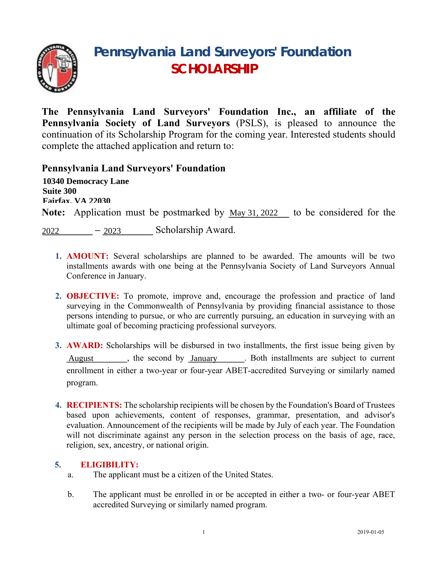

# **Pennsylvania Land Surveyors' Foundation SCHOLARSHIP**

**The Pennsylvania Land Surveyors' Foundation Inc., an affiliate of the Pennsylvania Society of Land Surveyors** (PSLS), is pleased to announce the continuation of its Scholarship Program for the coming year. Interested students should complete the attached application and return to:

# **Pennsylvania Land Surveyors' Foundation**

Note: Application must be postmarked by May 31, 2022 to be considered for the 2022 - 2023 Scholarship Award. **10340 Democracy Lane Suite 300 Fairfax, VA 22030**

- **1. AMOUNT:** Several scholarships are planned to be awarded. The amounts will be two installments awards with one being at the Pennsylvania Society of Land Surveyors Annual Conference in January.
- **2. OBJECTIVE:** To promote, improve and, encourage the profession and practice of land surveying in the Commonwealth of Pennsylvania by providing financial assistance to those persons intending to pursue, or who are currently pursuing, an education in surveying with an ultimate goal of becoming practicing professional surveyors.
- **3. AWARD:** Scholarships will be disbursed in two installments, the first issue being given by August  $\qquad$ , the second by <u>January</u> . Both installments are subject to current enrollment in either a two-year or four-year ABET-accredited Surveying or similarly named program.
- **4. RECIPIENTS:** The scholarship recipients will be chosen by the Foundation's Board of Trustees based upon achievements, content of responses, grammar, presentation, and advisor's evaluation. Announcement of the recipients will be made by July of each year. The Foundation will not discriminate against any person in the selection process on the basis of age, race, religion, sex, ancestry, or national origin.

# **5. ELIGIBILITY:**

- a. The applicant must be a citizen of the United States.
- b. The applicant must be enrolled in or be accepted in either a two- or four-year ABET accredited Surveying or similarly named program.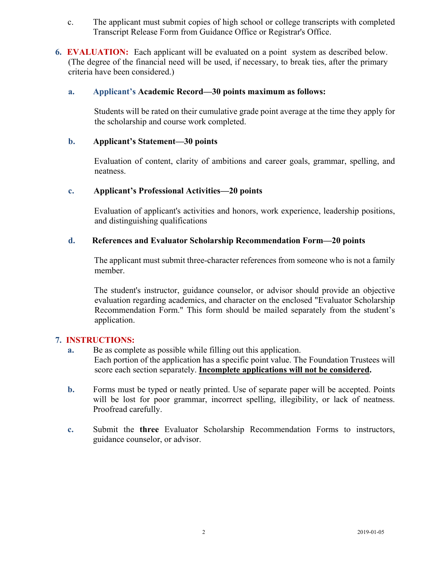- c. The applicant must submit copies of high school or college transcripts with completed Transcript Release Form from Guidance Office or Registrar's Office.
- **6. EVALUATION:** Each applicant will be evaluated on a point system as described below. (The degree of the financial need will be used, if necessary, to break ties, after the primary criteria have been considered.)

#### **a. Applicant's Academic Record—30 points maximum as follows:**

Students will be rated on their cumulative grade point average at the time they apply for the scholarship and course work completed.

#### **b. Applicant's Statement—30 points**

Evaluation of content, clarity of ambitions and career goals, grammar, spelling, and neatness.

### **c. Applicant's Professional Activities—20 points**

Evaluation of applicant's activities and honors, work experience, leadership positions, and distinguishing qualifications

#### **d. References and Evaluator Scholarship Recommendation Form—20 points**

The applicant must submit three-character references from someone who is not a family member.

The student's instructor, guidance counselor, or advisor should provide an objective evaluation regarding academics, and character on the enclosed "Evaluator Scholarship Recommendation Form." This form should be mailed separately from the student's application.

#### **7. INSTRUCTIONS:**

- **a.** Be as complete as possible while filling out this application. Each portion of the application has a specific point value. The Foundation Trustees will score each section separately. **Incomplete applications will not be considered.**
- **b.** Forms must be typed or neatly printed. Use of separate paper will be accepted. Points will be lost for poor grammar, incorrect spelling, illegibility, or lack of neatness. Proofread carefully.
- **c.** Submit the **three** Evaluator Scholarship Recommendation Forms to instructors, guidance counselor, or advisor.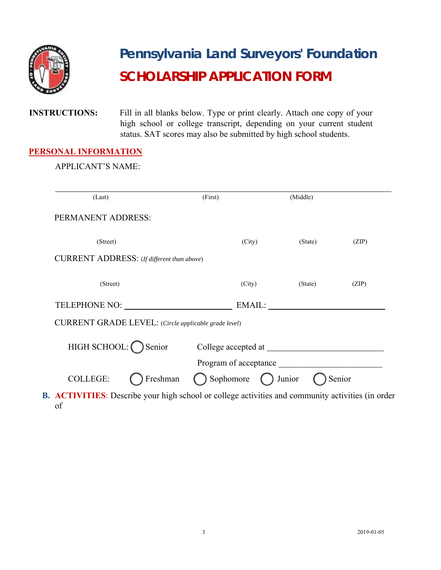

# **Pennsylvania Land Surveyors' Foundation SCHOLARSHIP APPLICATION FORM**

**INSTRUCTIONS:** Fill in all blanks below. Type or print clearly. Attach one copy of your high school or college transcript, depending on your current student status. SAT scores may also be submitted by high school students.

# **PERSONAL INFORMATION**

APPLICANT'S NAME:

| (Last)                                               | (First)                    | (Middle) |        |
|------------------------------------------------------|----------------------------|----------|--------|
| PERMANENT ADDRESS:                                   |                            |          |        |
| (Street)                                             | (City)                     | (State)  | (ZIP)  |
| CURRENT ADDRESS: (If different than above)           |                            |          |        |
| (Street)                                             | (City)                     | (State)  | (ZIP)  |
| TELEPHONE NO:                                        |                            | EMAIL:   |        |
| CURRENT GRADE LEVEL: (Circle applicable grade level) |                            |          |        |
| HIGH SCHOOL: $\bigcap$ Senior                        |                            |          |        |
|                                                      | Program of acceptance      |          |        |
| Freshman<br><b>COLLEGE:</b>                          | Sophomore $\bigcap$ Junior |          | Senior |

**B. ACTIVITIES**: Describe your high school or college activities and community activities (in order of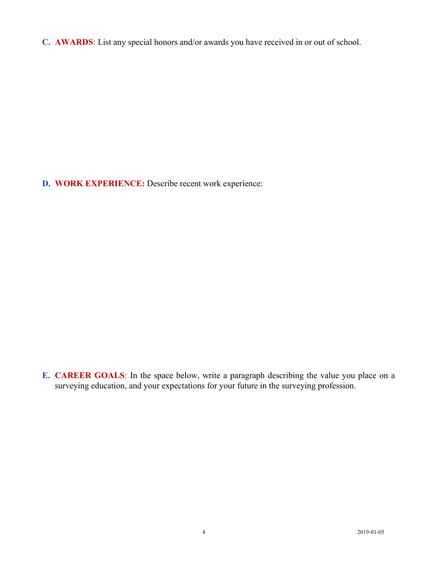**C. AWARDS**: List any special honors and/or awards you have received in or out of school.

**D.** WORK EXPERIENCE: Describe recent work experience:

**E. CAREER GOALS**: In the space below, write a paragraph describing the value you place on a surveying education, and your expectations for your future in the surveying profession.